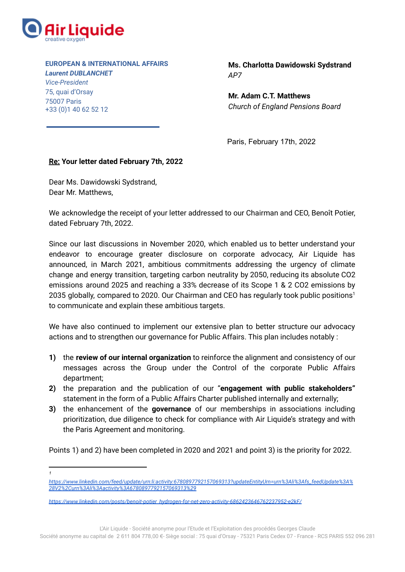

**EUROPEAN & INTERNATIONAL AFFAIRS** *Laurent DUBLANCHET*

*Vice-President* 75, quai d'Orsay 75007 Paris +33 (0)1 40 62 52 12

**Ms. Charlotta Dawidowski Sydstrand** *AP7*

**Mr. Adam C.T. Matthews** *Church of England Pensions Board*

Paris, February 17th, 2022

## **Re: Your letter dated February 7th, 2022**

Dear Ms. Dawidowski Sydstrand, Dear Mr. Matthews,

We acknowledge the receipt of your letter addressed to our Chairman and CEO, Benoît Potier, dated February 7th, 2022.

Since our last discussions in November 2020, which enabled us to better understand your endeavor to encourage greater disclosure on corporate advocacy, Air Liquide has announced, in March 2021, ambitious commitments addressing the urgency of climate change and energy transition, targeting carbon neutrality by 2050, reducing its absolute CO2 emissions around 2025 and reaching a 33% decrease of its Scope 1 & 2 CO2 emissions by 2035 globally, compared to 2020. Our Chairman and CEO has regularly took public positions<sup>1</sup> to communicate and explain these ambitious targets.

We have also continued to implement our extensive plan to better structure our advocacy actions and to strengthen our governance for Public Affairs. This plan includes notably :

- **1)** the **review of our internal organization** to reinforce the alignment and consistency of our messages across the Group under the Control of the corporate Public Affairs department;
- **2)** the preparation and the publication of our "**engagement with public stakeholders"** statement in the form of a Public Affairs Charter published internally and externally;
- **3)** the enhancement of the **governance** of our memberships in associations including prioritization, due diligence to check for compliance with Air Liquide's strategy and with the Paris Agreement and monitoring.

Points 1) and 2) have been completed in 2020 and 2021 and point 3) is the priority for 2022.

*1*

L'Air Liquide - Société anonyme pour l'Etude et l'Exploitation des procédés Georges Claude

*[https://www.linkedin.com/feed/update/urn:li:activity:6780897792157069313?updateEntityUrn=urn%3Ali%3Afs\\_feedUpdate%3A%](https://www.linkedin.com/feed/update/urn:li:activity:6780897792157069313?updateEntityUrn=urn%3Ali%3Afs_feedUpdate%3A%28V2%2Curn%3Ali%3Aactivity%3A6780897792157069313%29) [28V2%2Curn%3Ali%3Aactivity%3A6780897792157069313%29](https://www.linkedin.com/feed/update/urn:li:activity:6780897792157069313?updateEntityUrn=urn%3Ali%3Afs_feedUpdate%3A%28V2%2Curn%3Ali%3Aactivity%3A6780897792157069313%29)*

*[https://www.linkedin.com/posts/benoit-potier\\_hydrogen-for-net-zero-activity-6862423646762237952-e2kF/](https://www.linkedin.com/posts/benoit-potier_hydrogen-for-net-zero-activity-6862423646762237952-e2kF/)*

Société anonyme au capital de 2 611 804 778,00 €- Siège social : 75 quai d'Orsay - 75321 Paris Cedex 07 - France - RCS PARIS 552 096 281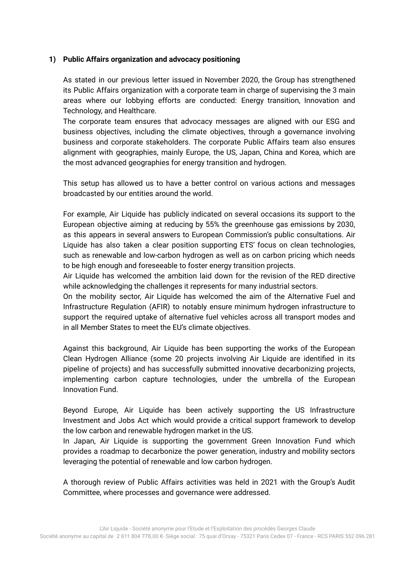### **1) Public Affairs organization and advocacy positioning**

As stated in our previous letter issued in November 2020, the Group has strengthened its Public Affairs organization with a corporate team in charge of supervising the 3 main areas where our lobbying efforts are conducted: Energy transition, Innovation and Technology, and Healthcare.

The corporate team ensures that advocacy messages are aligned with our ESG and business objectives, including the climate objectives, through a governance involving business and corporate stakeholders. The corporate Public Affairs team also ensures alignment with geographies, mainly Europe, the US, Japan, China and Korea, which are the most advanced geographies for energy transition and hydrogen.

This setup has allowed us to have a better control on various actions and messages broadcasted by our entities around the world.

For example, Air Liquide has publicly indicated on several occasions its support to the European objective aiming at reducing by 55% the greenhouse gas emissions by 2030, as this appears in several answers to European Commission's public consultations. Air Liquide has also taken a clear position supporting ETS' focus on clean technologies, such as renewable and low-carbon hydrogen as well as on carbon pricing which needs to be high enough and foreseeable to foster energy transition projects.

Air Liquide has welcomed the ambition laid down for the revision of the RED directive while acknowledging the challenges it represents for many industrial sectors.

On the mobility sector, Air Liquide has welcomed the aim of the Alternative Fuel and Infrastructure Regulation (AFIR) to notably ensure minimum hydrogen infrastructure to support the required uptake of alternative fuel vehicles across all transport modes and in all Member States to meet the EU's climate objectives.

Against this background, Air Liquide has been supporting the works of the European Clean Hydrogen Alliance (some 20 projects involving Air Liquide are identified in its pipeline of projects) and has successfully submitted innovative decarbonizing projects, implementing carbon capture technologies, under the umbrella of the European Innovation Fund.

Beyond Europe, Air Liquide has been actively supporting the US Infrastructure Investment and Jobs Act which would provide a critical support framework to develop the low carbon and renewable hydrogen market in the US.

In Japan, Air Liquide is supporting the government Green Innovation Fund which provides a roadmap to decarbonize the power generation, industry and mobility sectors leveraging the potential of renewable and low carbon hydrogen.

A thorough review of Public Affairs activities was held in 2021 with the Group's Audit Committee, where processes and governance were addressed.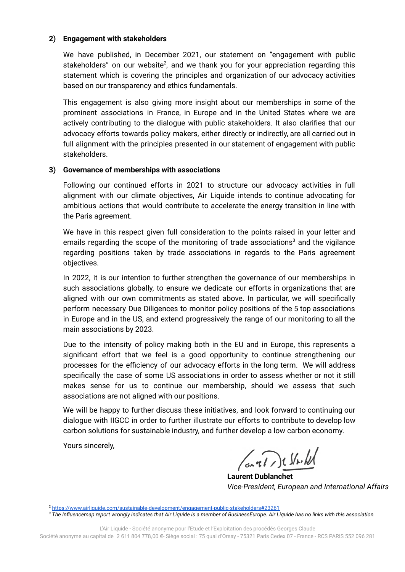#### **2) Engagement with stakeholders**

We have published, in December 2021, our statement on "engagement with public stakeholders" on our website<sup>2</sup>, and we thank you for your appreciation regarding this statement which is covering the principles and organization of our advocacy activities based on our transparency and ethics fundamentals.

This engagement is also giving more insight about our memberships in some of the prominent associations in France, in Europe and in the United States where we are actively contributing to the dialogue with public stakeholders. It also clarifies that our advocacy efforts towards policy makers, either directly or indirectly, are all carried out in full alignment with the principles presented in our statement of engagement with public stakeholders.

#### **3) Governance of memberships with associations**

Following our continued efforts in 2021 to structure our advocacy activities in full alignment with our climate objectives, Air Liquide intends to continue advocating for ambitious actions that would contribute to accelerate the energy transition in line with the Paris agreement.

We have in this respect given full consideration to the points raised in your letter and emails regarding the scope of the monitoring of trade associations<sup>3</sup> and the vigilance regarding positions taken by trade associations in regards to the Paris agreement objectives.

In 2022, it is our intention to further strengthen the governance of our memberships in such associations globally, to ensure we dedicate our efforts in organizations that are aligned with our own commitments as stated above. In particular, we will specifically perform necessary Due Diligences to monitor policy positions of the 5 top associations in Europe and in the US, and extend progressively the range of our monitoring to all the main associations by 2023.

Due to the intensity of policy making both in the EU and in Europe, this represents a significant effort that we feel is a good opportunity to continue strengthening our processes for the efficiency of our advocacy efforts in the long term. We will address specifically the case of some US associations in order to assess whether or not it still makes sense for us to continue our membership, should we assess that such associations are not aligned with our positions.

We will be happy to further discuss these initiatives, and look forward to continuing our dialogue with IIGCC in order to further illustrate our efforts to contribute to develop low carbon solutions for sustainable industry, and further develop a low carbon economy.

Yours sincerely,

(anti) should

**Laurent Dublanchet** *Vice-President, European and International Affairs*

Société anonyme au capital de 2 611 804 778,00 €- Siège social : 75 quai d'Orsay - 75321 Paris Cedex 07 - France - RCS PARIS 552 096 281

<sup>2</sup> <https://www.airliquide.com/sustainable-development/engagement-public-stakeholders#23261>

<sup>&</sup>lt;sup>3</sup> The Influencemap report wrongly indicates that Air Liquide is a member of BusinessEurope. Air Liquide has no links with this association.

L'Air Liquide - Société anonyme pour l'Etude et l'Exploitation des procédés Georges Claude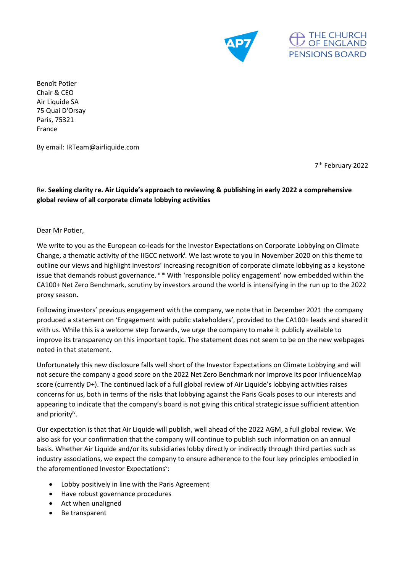



Benoît Potier Chair & CEO Air Liquide SA 75 Quai D'Orsay Paris, 75321 France

By email: IRTeam@airliquide.com

7 th February 2022

### Re. **Seeking clarity re. Air Liquide's approach to reviewing & publishing in early 2022 a comprehensive global review of all corporate climate lobbying activities**

Dear Mr Potier,

We write to you as the European co-leads for the Investor Expectations on Corporate Lobbying on Climate Change, a thematic activity of the IIGCC network<sup>i</sup>. We last wrote to you in November 2020 on this theme to outline our views and highlight investors' increasing recognition of corporate climate lobbying as a keystone issue that demands robust governance. iiiii With 'responsible policy engagement' now embedded within the CA100+ Net Zero Benchmark, scrutiny by investors around the world is intensifying in the run up to the 2022 proxy season.

Following investors' previous engagement with the company, we note that in December 2021 the company produced a statement on 'Engagement with public stakeholders', provided to the CA100+ leads and shared it with us. While this is a welcome step forwards, we urge the company to make it publicly available to improve its transparency on this important topic. The statement does not seem to be on the new webpages noted in that statement.

Unfortunately this new disclosure falls well short of the Investor Expectations on Climate Lobbying and will not secure the company a good score on the 2022 Net Zero Benchmark nor improve its poor InfluenceMap score (currently D+). The continued lack of a full global review of Air Liquide's lobbying activities raises concerns for us, both in terms of the risks that lobbying against the Paris Goals poses to our interests and appearing to indicate that the company's board is not giving this critical strategic issue sufficient attention and priority<sup>iv</sup>.

Our expectation is that that Air Liquide will publish, well ahead of the 2022 AGM, a full global review. We also ask for your confirmation that the company will continue to publish such information on an annual basis. Whether Air Liquide and/or its subsidiaries lobby directly or indirectly through third parties such as industry associations, we expect the company to ensure adherence to the four key principles embodied in the aforementioned Investor Expectations<sup>v</sup>:

- Lobby positively in line with the Paris Agreement
- Have robust governance procedures
- Act when unaligned
- Be transparent